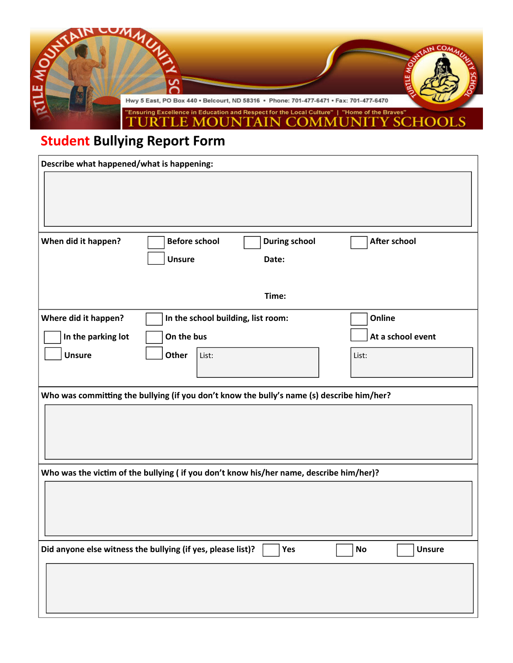

## **Student Bullying Report Form**

| Describe what happened/what is happening:                                                            |                                              |                   |
|------------------------------------------------------------------------------------------------------|----------------------------------------------|-------------------|
|                                                                                                      |                                              |                   |
|                                                                                                      |                                              |                   |
|                                                                                                      |                                              |                   |
| When did it happen?                                                                                  | <b>Before school</b><br><b>During school</b> | After school      |
|                                                                                                      | <b>Unsure</b><br>Date:                       |                   |
|                                                                                                      |                                              |                   |
|                                                                                                      | Time:                                        |                   |
| Where did it happen?                                                                                 | In the school building, list room:           | Online            |
| In the parking lot                                                                                   | On the bus                                   | At a school event |
| <b>Unsure</b>                                                                                        | Other<br>List:                               | List:             |
|                                                                                                      |                                              |                   |
| Who was committing the bullying (if you don't know the bully's name (s) describe him/her?            |                                              |                   |
|                                                                                                      |                                              |                   |
|                                                                                                      |                                              |                   |
|                                                                                                      |                                              |                   |
|                                                                                                      |                                              |                   |
| Who was the victim of the bullying (if you don't know his/her name, describe him/her)?               |                                              |                   |
|                                                                                                      |                                              |                   |
|                                                                                                      |                                              |                   |
|                                                                                                      |                                              |                   |
| Did anyone else witness the bullying (if yes, please list)?<br>Yes<br>$\mathsf{No}$<br><b>Unsure</b> |                                              |                   |
|                                                                                                      |                                              |                   |
|                                                                                                      |                                              |                   |
|                                                                                                      |                                              |                   |
|                                                                                                      |                                              |                   |